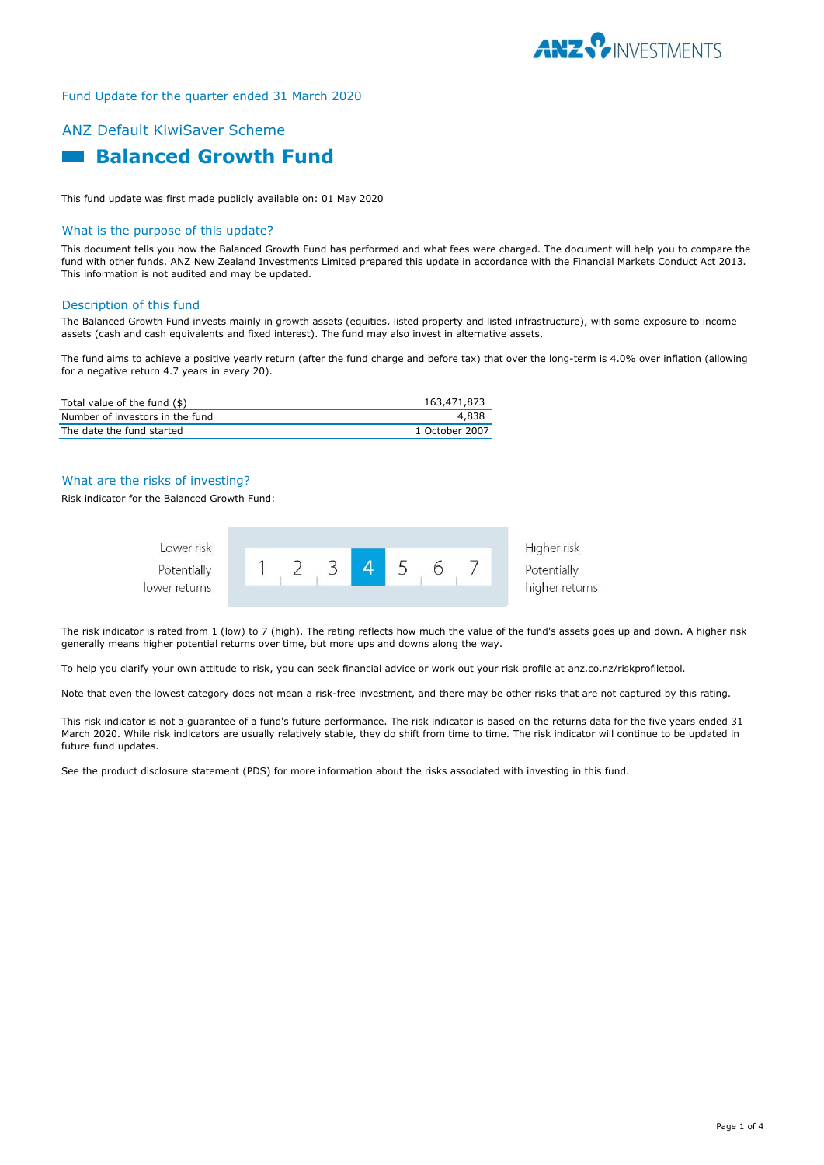

# ANZ Default KiwiSaver Scheme  **Balanced Growth Fund**

This fund update was first made publicly available on: 01 May 2020

#### What is the purpose of this update?

This document tells you how the Balanced Growth Fund has performed and what fees were charged. The document will help you to compare the fund with other funds. ANZ New Zealand Investments Limited prepared this update in accordance with the Financial Markets Conduct Act 2013. This information is not audited and may be updated.

#### Description of this fund

The Balanced Growth Fund invests mainly in growth assets (equities, listed property and listed infrastructure), with some exposure to income assets (cash and cash equivalents and fixed interest). The fund may also invest in alternative assets.

The fund aims to achieve a positive yearly return (after the fund charge and before tax) that over the long-term is 4.0% over inflation (allowing for a negative return 4.7 years in every 20).

| Total value of the fund (\$)    | 163,471,873    |
|---------------------------------|----------------|
| Number of investors in the fund | 4.838          |
| The date the fund started       | 1 October 2007 |

# What are the risks of investing?

Risk indicator for the Balanced Growth Fund:



The risk indicator is rated from 1 (low) to 7 (high). The rating reflects how much the value of the fund's assets goes up and down. A higher risk generally means higher potential returns over time, but more ups and downs along the way.

To help you clarify your own attitude to risk, you can seek financial advice or work out your risk profile at anz.co.nz/riskprofiletool.

Note that even the lowest category does not mean a risk-free investment, and there may be other risks that are not captured by this rating.

This risk indicator is not a guarantee of a fund's future performance. The risk indicator is based on the returns data for the five years ended 31 March 2020. While risk indicators are usually relatively stable, they do shift from time to time. The risk indicator will continue to be updated in future fund updates.

See the product disclosure statement (PDS) for more information about the risks associated with investing in this fund.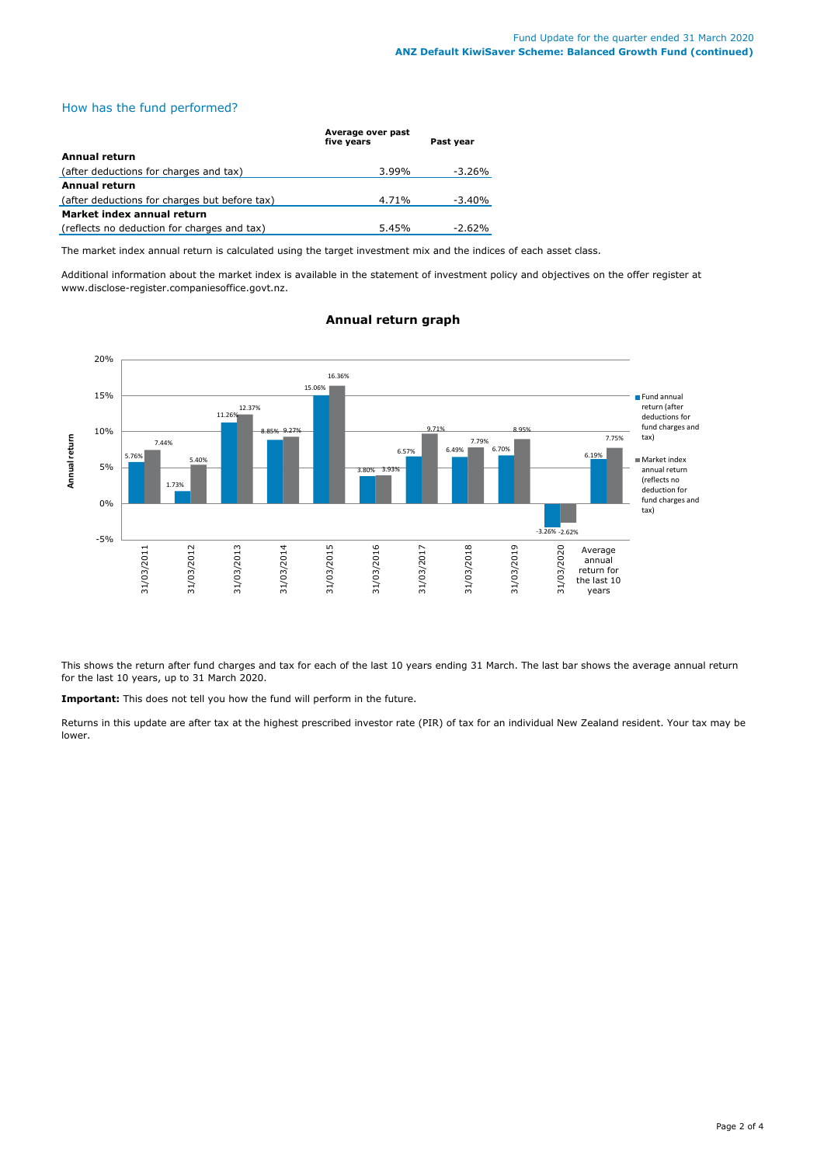# How has the fund performed?

|                                               | Average over past<br>five vears | Past vear |
|-----------------------------------------------|---------------------------------|-----------|
| Annual return                                 |                                 |           |
| (after deductions for charges and tax)        | $3.99\%$                        | -3.26%    |
| <b>Annual return</b>                          |                                 |           |
| (after deductions for charges but before tax) | 4.71%                           | $-3.40%$  |
| Market index annual return                    |                                 |           |
| (reflects no deduction for charges and tax)   | 5.45%                           | $-2.62%$  |

The market index annual return is calculated using the target investment mix and the indices of each asset class.

Additional information about the market index is available in the statement of investment policy and objectives on the offer register at www.disclose-register.companiesoffice.govt.nz.



# **Annual return graph**

This shows the return after fund charges and tax for each of the last 10 years ending 31 March. The last bar shows the average annual return for the last 10 years, up to 31 March 2020.

**Important:** This does not tell you how the fund will perform in the future.

Returns in this update are after tax at the highest prescribed investor rate (PIR) of tax for an individual New Zealand resident. Your tax may be lower.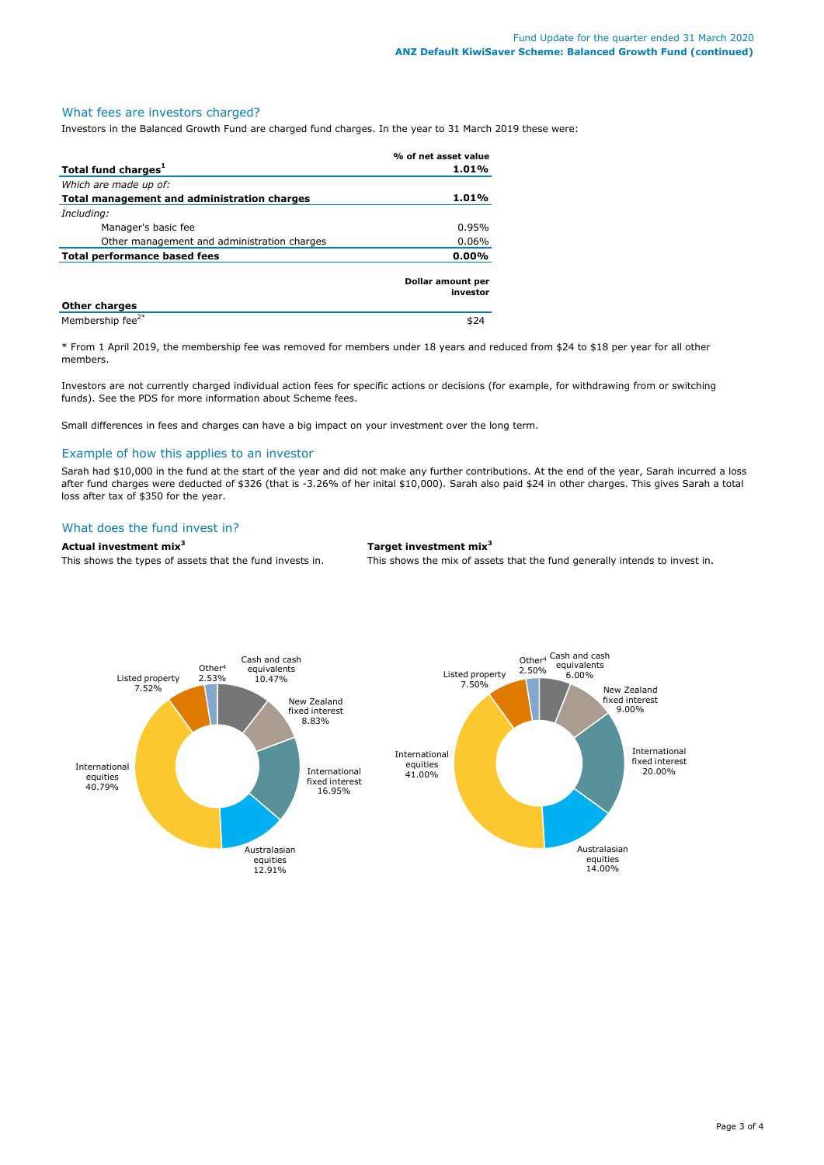#### What fees are investors charged?

Investors in the Balanced Growth Fund are charged fund charges. In the year to 31 March 2019 these were:

|                                             | % of net asset value          |  |
|---------------------------------------------|-------------------------------|--|
| Total fund charges <sup>1</sup>             | 1.01%                         |  |
| Which are made up of:                       |                               |  |
| Total management and administration charges | 1.01%                         |  |
| Including:                                  |                               |  |
| Manager's basic fee                         | 0.95%                         |  |
| Other management and administration charges | $0.06\%$                      |  |
| Total performance based fees                | $0.00\%$                      |  |
|                                             | Dollar amount per<br>investor |  |
| <b>Other charges</b>                        |                               |  |
| Membership fee <sup>2*</sup>                |                               |  |

\* From 1 April 2019, the membership fee was removed for members under 18 years and reduced from \$24 to \$18 per year for all other members.

Investors are not currently charged individual action fees for specific actions or decisions (for example, for withdrawing from or switching funds). See the PDS for more information about Scheme fees.

Small differences in fees and charges can have a big impact on your investment over the long term.

# Example of how this applies to an investor

Sarah had \$10,000 in the fund at the start of the year and did not make any further contributions. At the end of the year, Sarah incurred a loss after fund charges were deducted of \$326 (that is -3.26% of her inital \$10,000). Sarah also paid \$24 in other charges. This gives Sarah a total loss after tax of \$350 for the year.

# What does the fund invest in?

**Actual investment mix<sup>3</sup> Target investment mix<sup>3</sup>**

This shows the types of assets that the fund invests in. This shows the mix of assets that the fund generally intends to invest in.